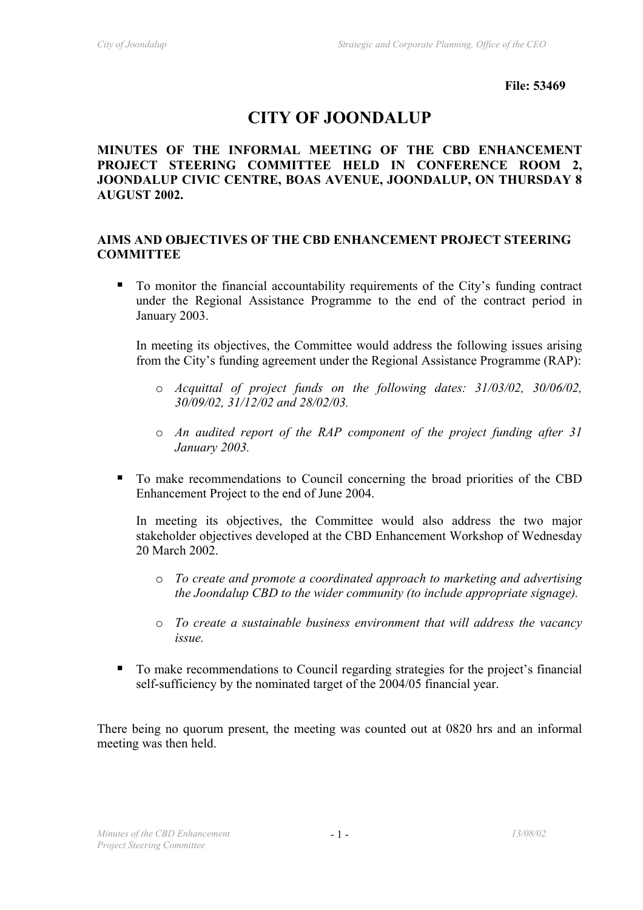**File: 53469** 

# **CITY OF JOONDALUP**

## **MINUTES OF THE INFORMAL MEETING OF THE CBD ENHANCEMENT PROJECT STEERING COMMITTEE HELD IN CONFERENCE ROOM 2, JOONDALUP CIVIC CENTRE, BOAS AVENUE, JOONDALUP, ON THURSDAY 8 AUGUST 2002.**

## **AIMS AND OBJECTIVES OF THE CBD ENHANCEMENT PROJECT STEERING COMMITTEE**

 To monitor the financial accountability requirements of the City's funding contract under the Regional Assistance Programme to the end of the contract period in January 2003.

In meeting its objectives, the Committee would address the following issues arising from the City's funding agreement under the Regional Assistance Programme (RAP):

- o *Acquittal of project funds on the following dates: 31/03/02, 30/06/02, 30/09/02, 31/12/02 and 28/02/03.*
- o *An audited report of the RAP component of the project funding after 31 January 2003.*
- To make recommendations to Council concerning the broad priorities of the CBD Enhancement Project to the end of June 2004.

In meeting its objectives, the Committee would also address the two major stakeholder objectives developed at the CBD Enhancement Workshop of Wednesday 20 March 2002.

- o *To create and promote a coordinated approach to marketing and advertising the Joondalup CBD to the wider community (to include appropriate signage).*
- o *To create a sustainable business environment that will address the vacancy issue.*
- To make recommendations to Council regarding strategies for the project's financial self-sufficiency by the nominated target of the 2004/05 financial year.

There being no quorum present, the meeting was counted out at 0820 hrs and an informal meeting was then held.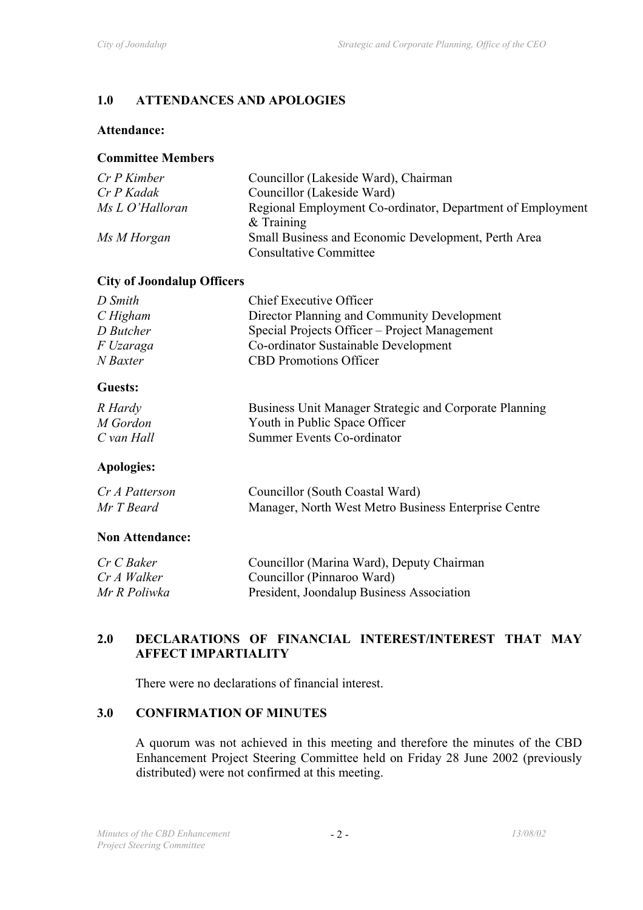# **1.0 ATTENDANCES AND APOLOGIES**

## **Attendance:**

## **Committee Members**

| $Cr P$ Kimber   | Councillor (Lakeside Ward), Chairman                       |
|-----------------|------------------------------------------------------------|
| Cr P Kadak      | Councillor (Lakeside Ward)                                 |
| Ms L O'Halloran | Regional Employment Co-ordinator, Department of Employment |
|                 | $&$ Training                                               |
| Ms M Horgan     | Small Business and Economic Development, Perth Area        |
|                 | <b>Consultative Committee</b>                              |

# **City of Joondalup Officers**

| D Smith   | <b>Chief Executive Officer</b>                |
|-----------|-----------------------------------------------|
| CHigham   | Director Planning and Community Development   |
| D Butcher | Special Projects Officer – Project Management |
| F Uzaraga | Co-ordinator Sustainable Development          |
| N Baxter  | <b>CBD</b> Promotions Officer                 |

# **Guests:**

| R Hardy    | Business Unit Manager Strategic and Corporate Planning |
|------------|--------------------------------------------------------|
| M Gordon   | Youth in Public Space Officer                          |
| C van Hall | Summer Events Co-ordinator                             |

# **Apologies:**

| Cr A Patterson | Councillor (South Coastal Ward)                      |
|----------------|------------------------------------------------------|
| Mr T Beard     | Manager, North West Metro Business Enterprise Centre |

## **Non Attendance:**

| Cr C Baker   | Councillor (Marina Ward), Deputy Chairman |
|--------------|-------------------------------------------|
| Cr A Walker  | Councillor (Pinnaroo Ward)                |
| Mr R Poliwka | President, Joondalup Business Association |

# **2.0 DECLARATIONS OF FINANCIAL INTEREST/INTEREST THAT MAY AFFECT IMPARTIALITY**

There were no declarations of financial interest.

# **3.0 CONFIRMATION OF MINUTES**

A quorum was not achieved in this meeting and therefore the minutes of the CBD Enhancement Project Steering Committee held on Friday 28 June 2002 (previously distributed) were not confirmed at this meeting.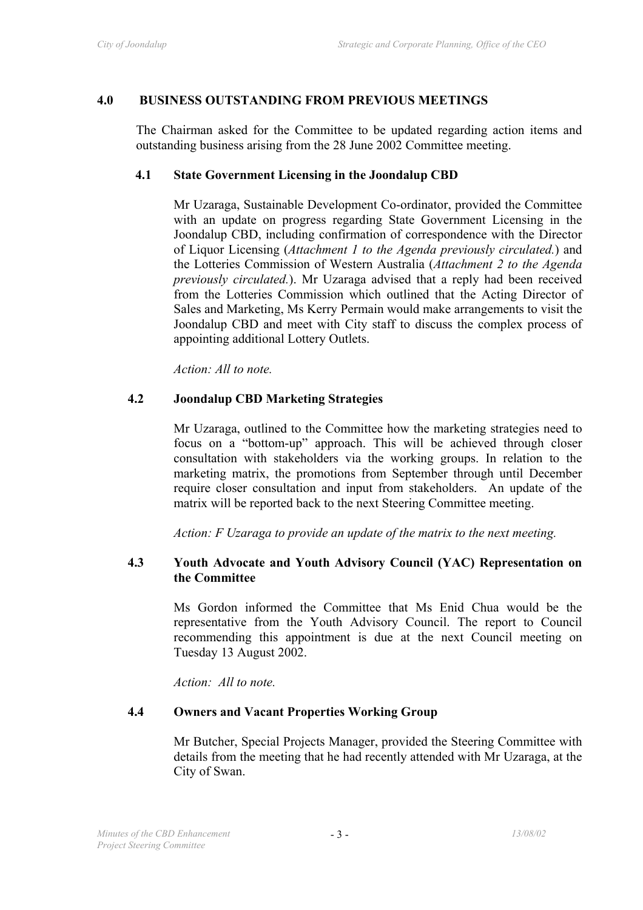#### **4.0 BUSINESS OUTSTANDING FROM PREVIOUS MEETINGS**

The Chairman asked for the Committee to be updated regarding action items and outstanding business arising from the 28 June 2002 Committee meeting.

#### **4.1 State Government Licensing in the Joondalup CBD**

Mr Uzaraga, Sustainable Development Co-ordinator, provided the Committee with an update on progress regarding State Government Licensing in the Joondalup CBD, including confirmation of correspondence with the Director of Liquor Licensing (*Attachment 1 to the Agenda previously circulated.*) and the Lotteries Commission of Western Australia (*Attachment 2 to the Agenda previously circulated.*). Mr Uzaraga advised that a reply had been received from the Lotteries Commission which outlined that the Acting Director of Sales and Marketing, Ms Kerry Permain would make arrangements to visit the Joondalup CBD and meet with City staff to discuss the complex process of appointing additional Lottery Outlets.

*Action: All to note.* 

#### **4.2 Joondalup CBD Marketing Strategies**

Mr Uzaraga, outlined to the Committee how the marketing strategies need to focus on a "bottom-up" approach. This will be achieved through closer consultation with stakeholders via the working groups. In relation to the marketing matrix, the promotions from September through until December require closer consultation and input from stakeholders. An update of the matrix will be reported back to the next Steering Committee meeting.

*Action: F Uzaraga to provide an update of the matrix to the next meeting.* 

#### **4.3 Youth Advocate and Youth Advisory Council (YAC) Representation on the Committee**

Ms Gordon informed the Committee that Ms Enid Chua would be the representative from the Youth Advisory Council. The report to Council recommending this appointment is due at the next Council meeting on Tuesday 13 August 2002.

*Action: All to note.* 

#### **4.4 Owners and Vacant Properties Working Group**

Mr Butcher, Special Projects Manager, provided the Steering Committee with details from the meeting that he had recently attended with Mr Uzaraga, at the City of Swan.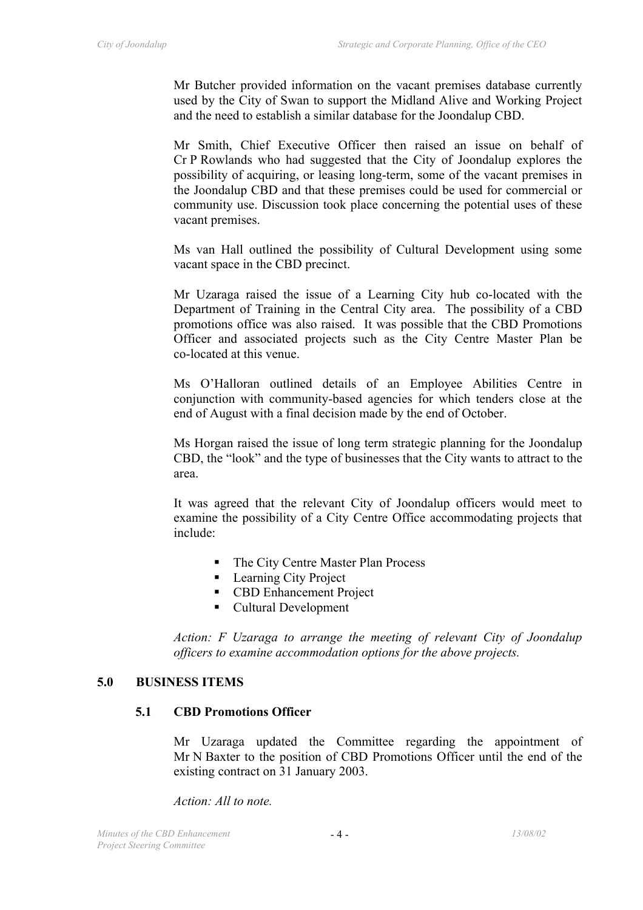Mr Butcher provided information on the vacant premises database currently used by the City of Swan to support the Midland Alive and Working Project and the need to establish a similar database for the Joondalup CBD.

Mr Smith, Chief Executive Officer then raised an issue on behalf of Cr P Rowlands who had suggested that the City of Joondalup explores the possibility of acquiring, or leasing long-term, some of the vacant premises in the Joondalup CBD and that these premises could be used for commercial or community use. Discussion took place concerning the potential uses of these vacant premises.

Ms van Hall outlined the possibility of Cultural Development using some vacant space in the CBD precinct.

Mr Uzaraga raised the issue of a Learning City hub co-located with the Department of Training in the Central City area. The possibility of a CBD promotions office was also raised. It was possible that the CBD Promotions Officer and associated projects such as the City Centre Master Plan be co-located at this venue.

Ms O'Halloran outlined details of an Employee Abilities Centre in conjunction with community-based agencies for which tenders close at the end of August with a final decision made by the end of October.

Ms Horgan raised the issue of long term strategic planning for the Joondalup CBD, the "look" and the type of businesses that the City wants to attract to the area.

It was agreed that the relevant City of Joondalup officers would meet to examine the possibility of a City Centre Office accommodating projects that include:

- The City Centre Master Plan Process
- **Learning City Project**
- **CBD Enhancement Project**
- Cultural Development

*Action: F Uzaraga to arrange the meeting of relevant City of Joondalup officers to examine accommodation options for the above projects.* 

## **5.0 BUSINESS ITEMS**

#### **5.1 CBD Promotions Officer**

Mr Uzaraga updated the Committee regarding the appointment of Mr N Baxter to the position of CBD Promotions Officer until the end of the existing contract on 31 January 2003.

*Action: All to note.*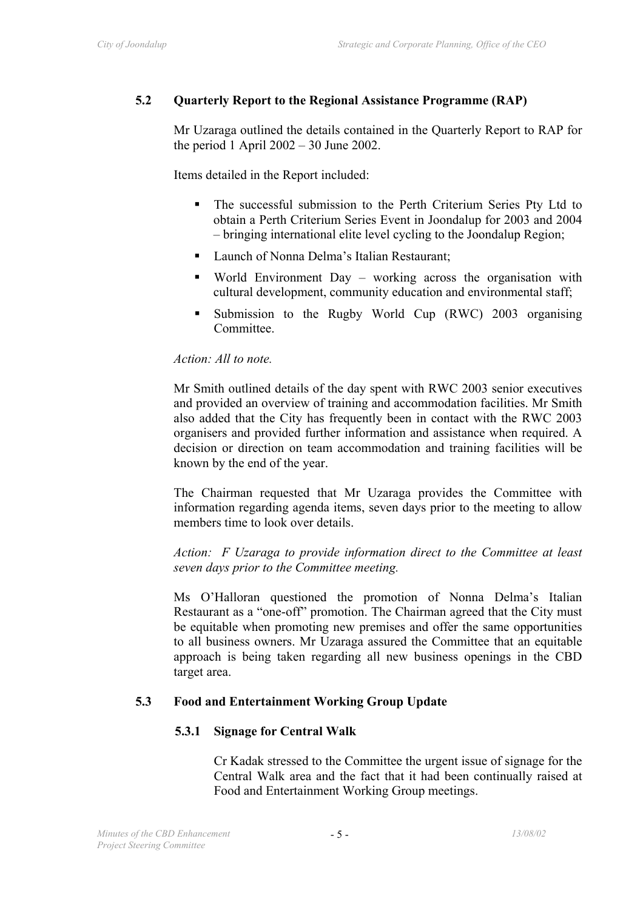# **5.2 Quarterly Report to the Regional Assistance Programme (RAP)**

Mr Uzaraga outlined the details contained in the Quarterly Report to RAP for the period 1 April  $2002 - 30$  June 2002.

Items detailed in the Report included:

- The successful submission to the Perth Criterium Series Pty Ltd to obtain a Perth Criterium Series Event in Joondalup for 2003 and 2004 – bringing international elite level cycling to the Joondalup Region;
- Launch of Nonna Delma's Italian Restaurant;
- World Environment Day working across the organisation with cultural development, community education and environmental staff;
- Submission to the Rugby World Cup (RWC) 2003 organising **Committee**

#### *Action: All to note.*

Mr Smith outlined details of the day spent with RWC 2003 senior executives and provided an overview of training and accommodation facilities. Mr Smith also added that the City has frequently been in contact with the RWC 2003 organisers and provided further information and assistance when required. A decision or direction on team accommodation and training facilities will be known by the end of the year.

The Chairman requested that Mr Uzaraga provides the Committee with information regarding agenda items, seven days prior to the meeting to allow members time to look over details.

*Action: F Uzaraga to provide information direct to the Committee at least seven days prior to the Committee meeting.* 

Ms O'Halloran questioned the promotion of Nonna Delma's Italian Restaurant as a "one-off" promotion. The Chairman agreed that the City must be equitable when promoting new premises and offer the same opportunities to all business owners. Mr Uzaraga assured the Committee that an equitable approach is being taken regarding all new business openings in the CBD target area.

## **5.3 Food and Entertainment Working Group Update**

## **5.3.1 Signage for Central Walk**

Cr Kadak stressed to the Committee the urgent issue of signage for the Central Walk area and the fact that it had been continually raised at Food and Entertainment Working Group meetings.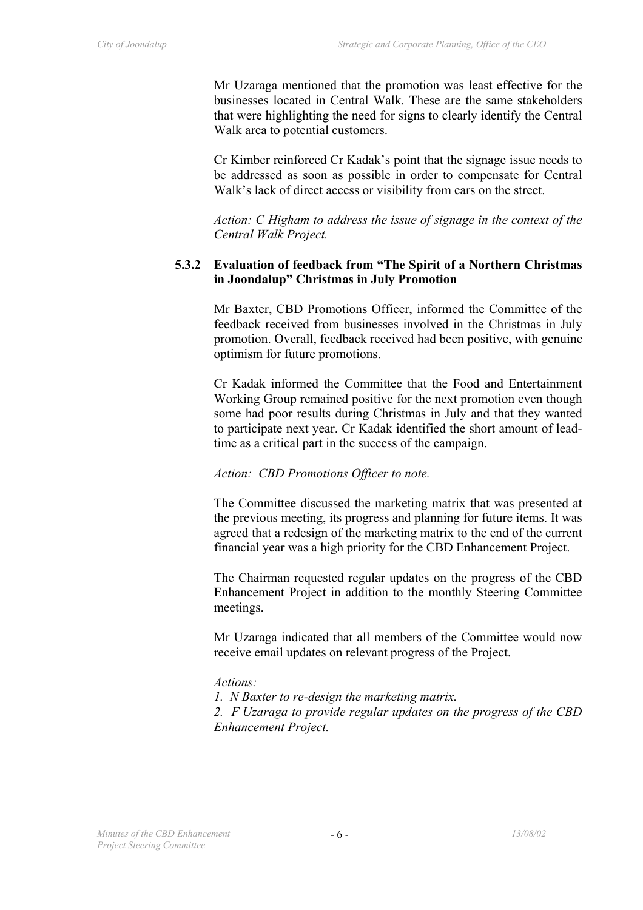Mr Uzaraga mentioned that the promotion was least effective for the businesses located in Central Walk. These are the same stakeholders that were highlighting the need for signs to clearly identify the Central Walk area to potential customers.

Cr Kimber reinforced Cr Kadak's point that the signage issue needs to be addressed as soon as possible in order to compensate for Central Walk's lack of direct access or visibility from cars on the street.

*Action: C Higham to address the issue of signage in the context of the Central Walk Project.* 

#### **5.3.2 Evaluation of feedback from "The Spirit of a Northern Christmas in Joondalup" Christmas in July Promotion**

Mr Baxter, CBD Promotions Officer, informed the Committee of the feedback received from businesses involved in the Christmas in July promotion. Overall, feedback received had been positive, with genuine optimism for future promotions.

Cr Kadak informed the Committee that the Food and Entertainment Working Group remained positive for the next promotion even though some had poor results during Christmas in July and that they wanted to participate next year. Cr Kadak identified the short amount of leadtime as a critical part in the success of the campaign.

#### *Action: CBD Promotions Officer to note.*

The Committee discussed the marketing matrix that was presented at the previous meeting, its progress and planning for future items. It was agreed that a redesign of the marketing matrix to the end of the current financial year was a high priority for the CBD Enhancement Project.

The Chairman requested regular updates on the progress of the CBD Enhancement Project in addition to the monthly Steering Committee meetings.

Mr Uzaraga indicated that all members of the Committee would now receive email updates on relevant progress of the Project.

#### *Actions:*

*1. N Baxter to re-design the marketing matrix.* 

*2. F Uzaraga to provide regular updates on the progress of the CBD Enhancement Project.*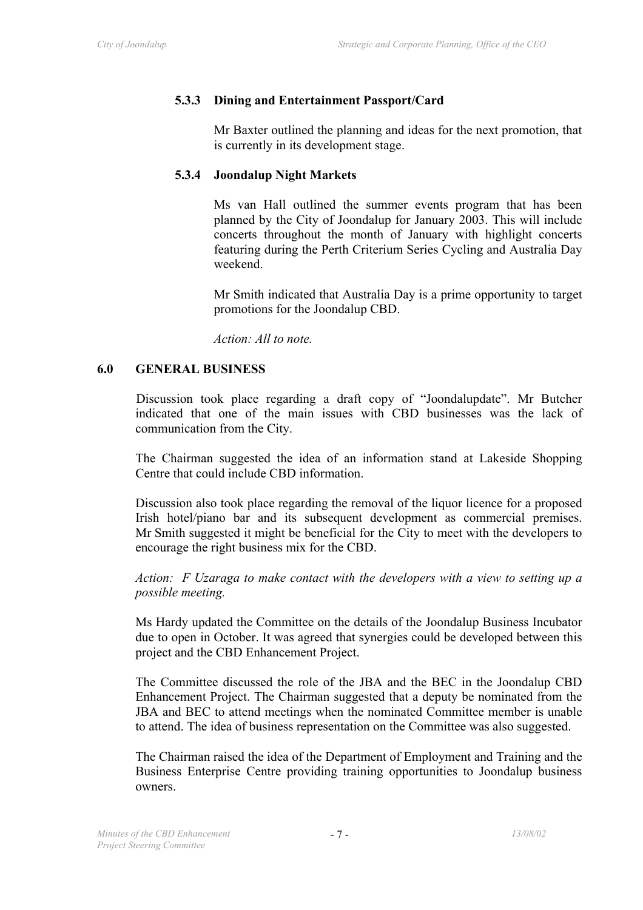#### **5.3.3 Dining and Entertainment Passport/Card**

Mr Baxter outlined the planning and ideas for the next promotion, that is currently in its development stage.

#### **5.3.4 Joondalup Night Markets**

Ms van Hall outlined the summer events program that has been planned by the City of Joondalup for January 2003. This will include concerts throughout the month of January with highlight concerts featuring during the Perth Criterium Series Cycling and Australia Day weekend.

Mr Smith indicated that Australia Day is a prime opportunity to target promotions for the Joondalup CBD.

*Action: All to note.* 

#### **6.0 GENERAL BUSINESS**

Discussion took place regarding a draft copy of "Joondalupdate". Mr Butcher indicated that one of the main issues with CBD businesses was the lack of communication from the City.

The Chairman suggested the idea of an information stand at Lakeside Shopping Centre that could include CBD information.

Discussion also took place regarding the removal of the liquor licence for a proposed Irish hotel/piano bar and its subsequent development as commercial premises. Mr Smith suggested it might be beneficial for the City to meet with the developers to encourage the right business mix for the CBD.

*Action: F Uzaraga to make contact with the developers with a view to setting up a possible meeting.* 

Ms Hardy updated the Committee on the details of the Joondalup Business Incubator due to open in October. It was agreed that synergies could be developed between this project and the CBD Enhancement Project.

The Committee discussed the role of the JBA and the BEC in the Joondalup CBD Enhancement Project. The Chairman suggested that a deputy be nominated from the JBA and BEC to attend meetings when the nominated Committee member is unable to attend. The idea of business representation on the Committee was also suggested.

The Chairman raised the idea of the Department of Employment and Training and the Business Enterprise Centre providing training opportunities to Joondalup business owners.